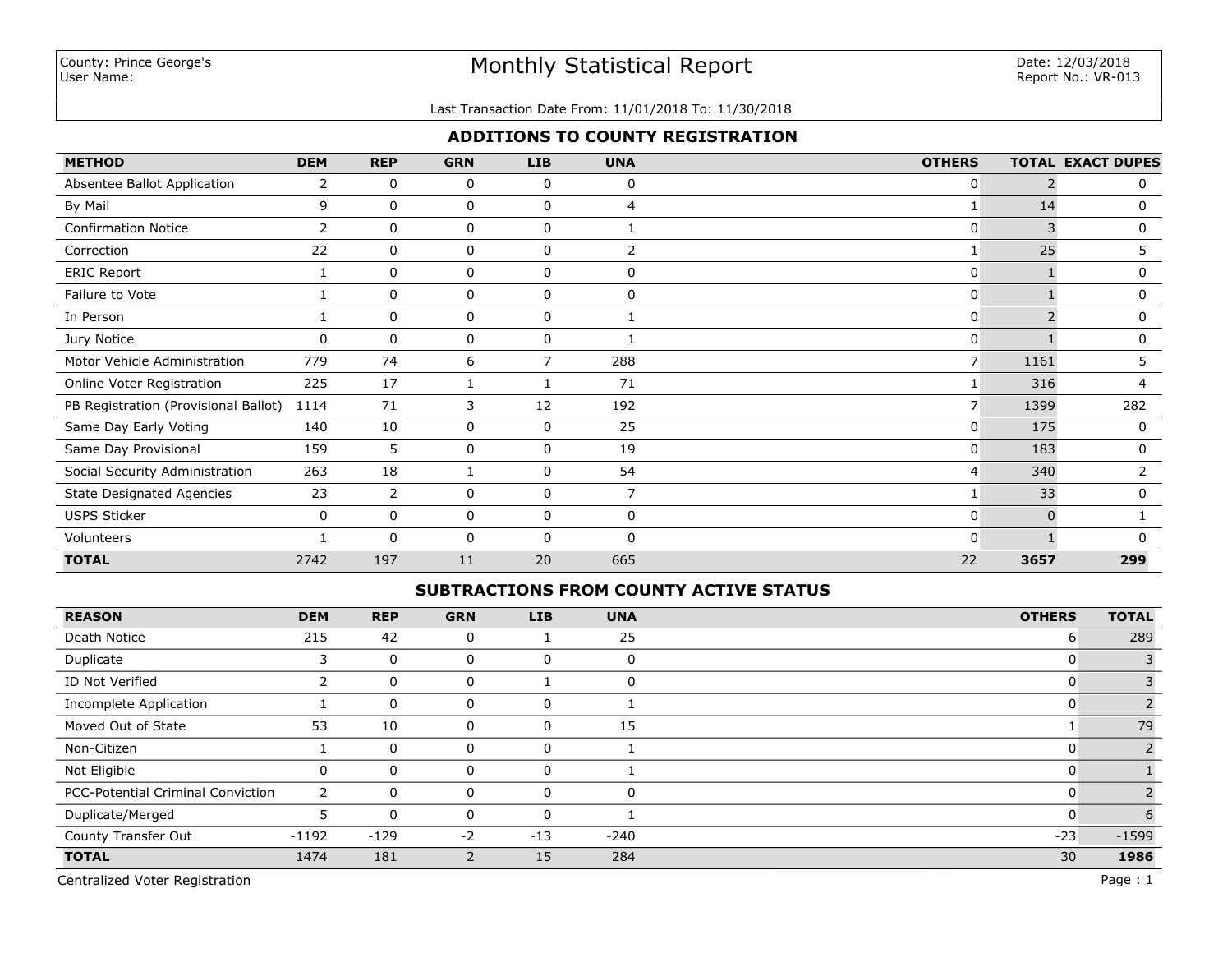#### Last Transaction Date From: 11/01/2018 To: 11/30/2018

# **ADDITIONS TO COUNTY REGISTRATION**

| <b>METHOD</b>                        | <b>DEM</b> | <b>REP</b>     | <b>GRN</b> | <b>LIB</b>   | <b>UNA</b> | <b>OTHERS</b>  |          | <b>TOTAL EXACT DUPES</b> |
|--------------------------------------|------------|----------------|------------|--------------|------------|----------------|----------|--------------------------|
| Absentee Ballot Application          | 2          | 0              | 0          | 0            | 0          | 0              |          | 0                        |
| By Mail                              | 9          | $\Omega$       | 0          | $\mathbf 0$  | 4          |                | 14       | 0                        |
| <b>Confirmation Notice</b>           | 2          | $\Omega$       | 0          | $\mathbf 0$  |            | 0              |          | 0                        |
| Correction                           | 22         | $\mathbf 0$    | 0          | 0            | 2          |                | 25       | 5.                       |
| <b>ERIC Report</b>                   |            | $\mathbf 0$    | 0          | 0            | 0          | $\mathbf{0}$   |          | 0                        |
| Failure to Vote                      |            | 0              | 0          | 0            | 0          | $\mathbf{0}$   |          | 0                        |
| In Person                            |            | $\mathbf 0$    | 0          | 0            |            | $\mathbf{0}$   |          | 0                        |
| Jury Notice                          | 0          | $\mathbf 0$    | 0          | 0            |            | $\mathbf{0}$   |          | 0                        |
| Motor Vehicle Administration         | 779        | 74             | 6          | 7            | 288        | $\overline{7}$ | 1161     | 5.                       |
| Online Voter Registration            | 225        | 17             |            |              | 71         |                | 316      | 4                        |
| PB Registration (Provisional Ballot) | 1114       | 71             | 3          | 12           | 192        |                | 1399     | 282                      |
| Same Day Early Voting                | 140        | 10             | 0          | $\mathbf 0$  | 25         | $\Omega$       | 175      | 0                        |
| Same Day Provisional                 | 159        | 5              | 0          | 0            | 19         | $\Omega$       | 183      | 0                        |
| Social Security Administration       | 263        | 18             |            | $\mathbf{0}$ | 54         | 4              | 340      | 2                        |
| <b>State Designated Agencies</b>     | 23         | $\overline{2}$ | 0          | 0            | 7          |                | 33       | 0                        |
| <b>USPS Sticker</b>                  | 0          | 0              | 0          | 0            | 0          | $\Omega$       | $\Omega$ |                          |
| Volunteers                           |            | $\Omega$       | 0          | $\mathbf{0}$ | n          | $\Omega$       |          |                          |
| <b>TOTAL</b>                         | 2742       | 197            | 11         | 20           | 665        | 22             | 3657     | 299                      |

## **SUBTRACTIONS FROM COUNTY ACTIVE STATUS**

| <b>REASON</b>                            | <b>DEM</b> | <b>REP</b> | <b>GRN</b> | <b>LIB</b> | <b>UNA</b> | <b>OTHERS</b> | <b>TOTAL</b> |
|------------------------------------------|------------|------------|------------|------------|------------|---------------|--------------|
| Death Notice                             | 215        | 42         | 0          |            | 25         | 6             | 289          |
| Duplicate                                | 3          | 0          | 0          | 0          | $\Omega$   | U             |              |
| ID Not Verified                          |            | 0          | 0          |            | $\Omega$   | u             |              |
| Incomplete Application                   |            | 0          | 0          | 0          |            | u             |              |
| Moved Out of State                       | 53         | 10         | 0          | 0          | 15         |               | 79           |
| Non-Citizen                              |            | 0          | 0          | 0          |            |               |              |
| Not Eligible                             |            | $\Omega$   | 0          | 0          |            |               |              |
| <b>PCC-Potential Criminal Conviction</b> | 2          | $\Omega$   | 0          | $\Omega$   |            |               |              |
| Duplicate/Merged                         |            | $\Omega$   | 0          | $\Omega$   |            |               | 6            |
| County Transfer Out                      | $-1192$    | $-129$     | $-2$       | $-13$      | $-240$     | $-23$         | $-1599$      |
| <b>TOTAL</b>                             | 1474       | 181        | 2          | 15         | 284        | 30            | 1986         |

Centralized Voter Registration Page : 1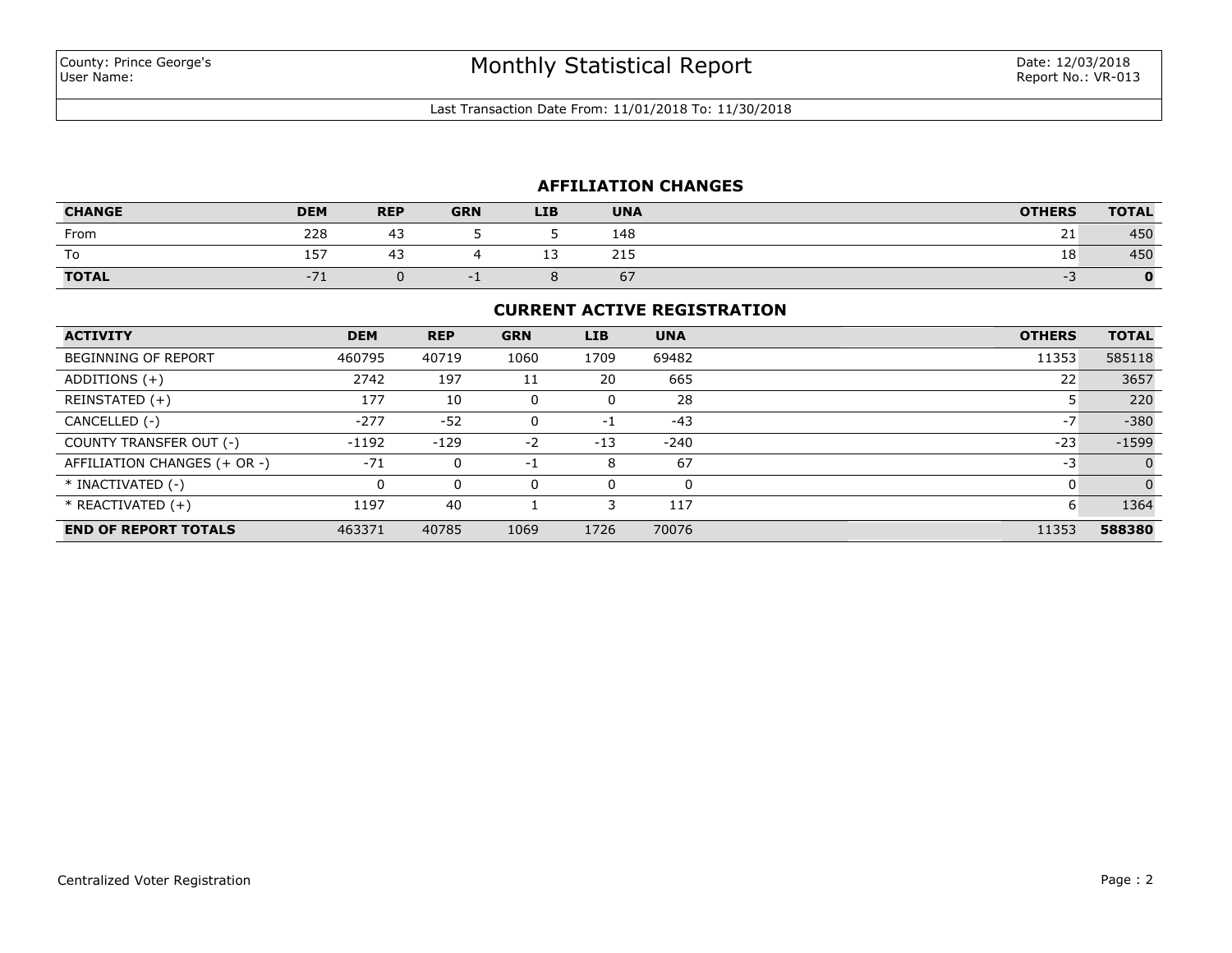Last Transaction Date From: 11/01/2018 To: 11/30/2018

## **AFFILIATION CHANGES**

| <b>CHANGE</b> | <b>DEM</b> | <b>REP</b> | <b>GRN</b> | <b>LIB</b> | <b>UNA</b> | <b>OTHERS</b> | <b>TOTAL</b> |
|---------------|------------|------------|------------|------------|------------|---------------|--------------|
| From          | 228        | ⊶          |            |            | 148        | ∠⊥            | 450          |
| To            | 157        | ⊶          |            |            | 21E<br>413 | 18            | 450          |
| <b>TOTAL</b>  |            |            |            |            | 67         |               |              |

#### **CURRENT ACTIVE REGISTRATION**

| <b>ACTIVITY</b>              | <b>DEM</b> | <b>REP</b> | <b>GRN</b> | <b>LIB</b> | <b>UNA</b> | <b>OTHERS</b> | <b>TOTAL</b> |
|------------------------------|------------|------------|------------|------------|------------|---------------|--------------|
| <b>BEGINNING OF REPORT</b>   | 460795     | 40719      | 1060       | 1709       | 69482      | 11353         | 585118       |
| ADDITIONS $(+)$              | 2742       | 197        | 11         | 20         | 665        | 22            | 3657         |
| REINSTATED (+)               | 177        | 10         | 0          |            | 28         |               | 220          |
| CANCELLED (-)                | $-277$     | $-52$      | 0          | $-1$       | $-43$      | $-7$          | $-380$       |
| COUNTY TRANSFER OUT (-)      | $-1192$    | $-129$     | $-2$       | $-13$      | $-240$     | $-23$         | $-1599$      |
| AFFILIATION CHANGES (+ OR -) | $-71$      | 0          | -1         | 8          | 67         | -3            | $\Omega$     |
| * INACTIVATED (-)            | 0          | 0          | 0          |            | $\Omega$   |               | $\Omega$     |
| $*$ REACTIVATED $(+)$        | 1197       | 40         |            |            | 117        | 6             | 1364         |
| <b>END OF REPORT TOTALS</b>  | 463371     | 40785      | 1069       | 1726       | 70076      | 11353         | 588380       |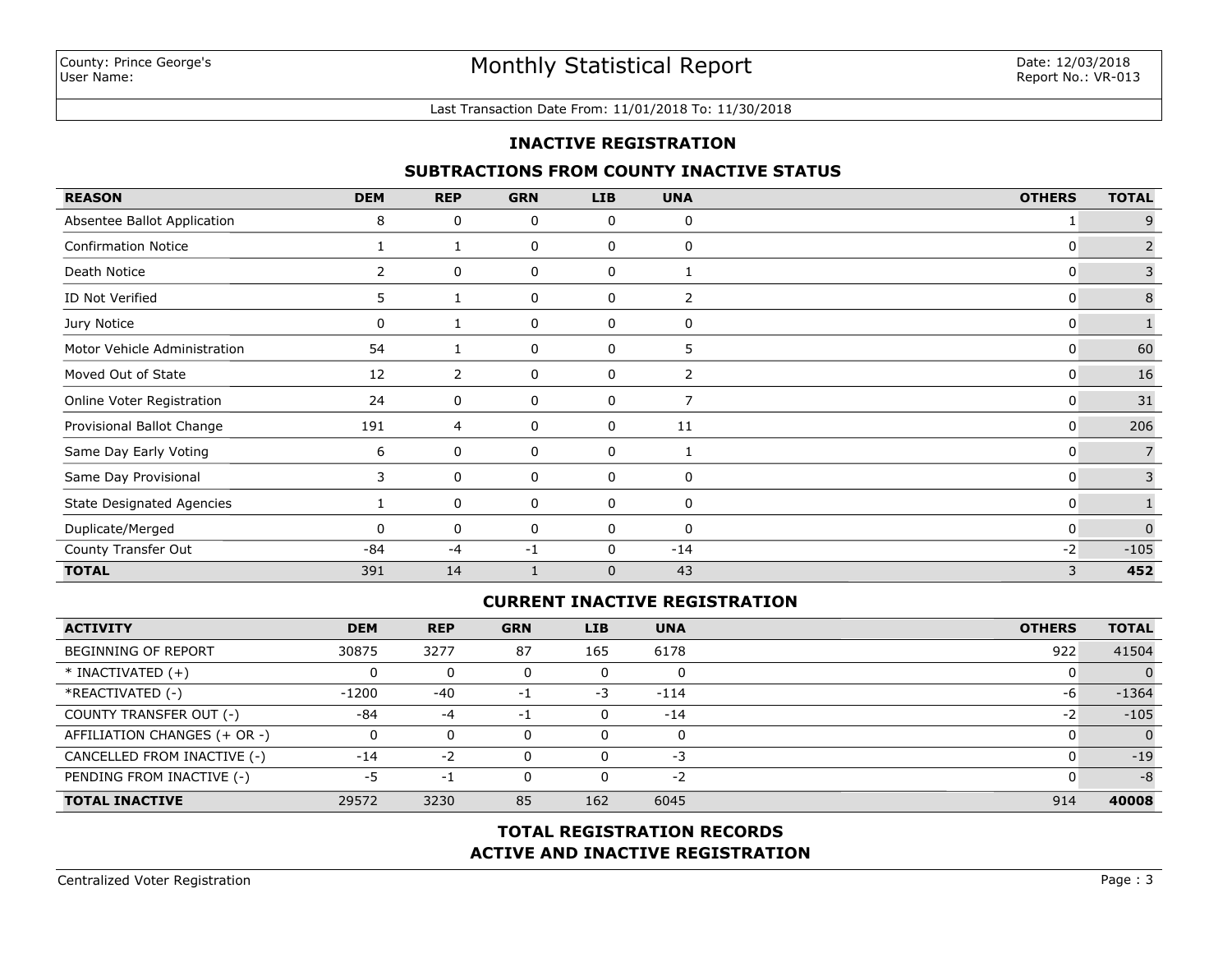#### Last Transaction Date From: 11/01/2018 To: 11/30/2018

## **INACTIVE REGISTRATION**

## **SUBTRACTIONS FROM COUNTY INACTIVE STATUS**

| <b>REASON</b>                    | <b>DEM</b>     | <b>REP</b> | <b>GRN</b> | <b>LIB</b>   | <b>UNA</b>     | <b>OTHERS</b> | <b>TOTAL</b>   |
|----------------------------------|----------------|------------|------------|--------------|----------------|---------------|----------------|
| Absentee Ballot Application      | 8              | 0          | 0          | 0            | 0              |               | 9              |
| <b>Confirmation Notice</b>       |                |            | 0          | 0            | 0              | 0             | $\overline{2}$ |
| Death Notice                     | $\overline{2}$ | 0          | 0          | 0            | 1              | 0             | 3              |
| ID Not Verified                  | 5.             |            | 0          | 0            | 2              | 0             | $\,8\,$        |
| Jury Notice                      | 0              |            | 0          | 0            | 0              | 0             |                |
| Motor Vehicle Administration     | 54             |            | 0          | 0            | 5              | 0             | 60             |
| Moved Out of State               | 12             | 2          | 0          | 0            | 2              | 0             | 16             |
| Online Voter Registration        | 24             | 0          | 0          | 0            | $\overline{7}$ | 0             | 31             |
| Provisional Ballot Change        | 191            | 4          | 0          | 0            | 11             | 0             | 206            |
| Same Day Early Voting            | 6              | 0          | 0          | 0            | 1              | 0             |                |
| Same Day Provisional             | 3              | 0          | 0          | 0            | 0              | 0             | 3              |
| <b>State Designated Agencies</b> |                | 0          | 0          | 0            | 0              | 0             |                |
| Duplicate/Merged                 | 0              | 0          | 0          | 0            | $\mathbf 0$    | 0             | $\Omega$       |
| County Transfer Out              | -84            | -4         | $-1$       | 0            | $-14$          | $-2$          | $-105$         |
| <b>TOTAL</b>                     | 391            | 14         |            | $\mathbf{0}$ | 43             | 3             | 452            |

# **CURRENT INACTIVE REGISTRATION**

| <b>ACTIVITY</b>              | <b>DEM</b> | <b>REP</b> | <b>GRN</b> | <b>LIB</b> | <b>UNA</b> | <b>OTHERS</b> | <b>TOTAL</b>   |
|------------------------------|------------|------------|------------|------------|------------|---------------|----------------|
| <b>BEGINNING OF REPORT</b>   | 30875      | 3277       | 87         | 165        | 6178       | 922           | 41504          |
| $*$ INACTIVATED $(+)$        |            |            |            | 0          | 0          |               | 0              |
| *REACTIVATED (-)             | $-1200$    | $-40$      | -1         | $-3$       | $-114$     | -6            | $-1364$        |
| COUNTY TRANSFER OUT (-)      | $-84$      | $-4$       | -1         | 0          | $-14$      | $-2$          | $-105$         |
| AFFILIATION CHANGES (+ OR -) |            |            |            | 0          | 0          |               | $\overline{0}$ |
| CANCELLED FROM INACTIVE (-)  | $-14$      | $-2$       |            | 0          | -3         |               | $-19$          |
| PENDING FROM INACTIVE (-)    | -5         | -1         |            | 0          | $-2$       |               | $-8$           |
| <b>TOTAL INACTIVE</b>        | 29572      | 3230       | 85         | 162        | 6045       | 914           | 40008          |

# **ACTIVE AND INACTIVE REGISTRATION TOTAL REGISTRATION RECORDS**